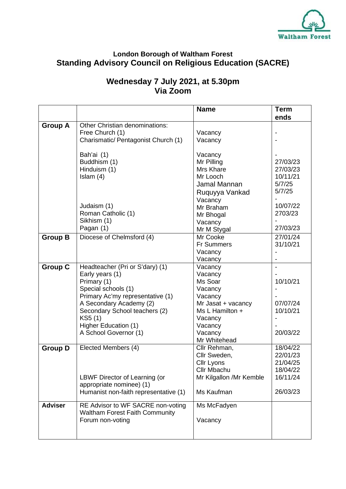

### **London Borough of Waltham Forest Standing Advisory Council on Religious Education (SACRE)**

## **Wednesday 7 July 2021, at 5.30pm Via Zoom**

|                |                                       | <b>Name</b>             | <b>Term</b> |
|----------------|---------------------------------------|-------------------------|-------------|
|                |                                       |                         | ends        |
| <b>Group A</b> | <b>Other Christian denominations:</b> |                         |             |
|                | Free Church (1)                       | Vacancy                 |             |
|                | Charismatic/ Pentagonist Church (1)   | Vacancy                 |             |
|                |                                       |                         |             |
|                | Bah'ai (1)                            | Vacancy                 |             |
|                | Buddhism (1)                          | Mr Pilling              | 27/03/23    |
|                | Hinduism (1)                          | Mrs Khare               | 27/03/23    |
|                | Islam $(4)$                           | Mr Looch                | 10/11/21    |
|                |                                       | Jamal Mannan            | 5/7/25      |
|                |                                       | Ruguyya Vankad          | 5/7/25      |
|                |                                       | Vacancy                 |             |
|                | Judaism (1)                           | Mr Braham               | 10/07/22    |
|                | Roman Catholic (1)                    | Mr Bhogal               | 2703/23     |
|                | Sikhism (1)                           | Vacancy                 |             |
|                | Pagan (1)                             | Mr M Stygal             | 27/03/23    |
| <b>Group B</b> | Diocese of Chelmsford (4)             | Mr Cooke                | 27/01/24    |
|                |                                       | <b>Fr Summers</b>       | 31/10/21    |
|                |                                       | Vacancy                 |             |
|                |                                       | Vacancy                 |             |
| <b>Group C</b> | Headteacher (Pri or S'dary) (1)       | Vacancy                 |             |
|                | Early years (1)                       | Vacancy                 |             |
|                | Primary (1)                           | Ms Soar                 | 10/10/21    |
|                | Special schools (1)                   | Vacancy                 |             |
|                | Primary Ac'my representative (1)      | Vacancy                 |             |
|                | A Secondary Academy (2)               | Mr Jasat + vacancy      | 07/07/24    |
|                | Secondary School teachers (2)         | Ms L Hamilton +         | 10/10/21    |
|                | KS5(1)                                | Vacancy                 |             |
|                | Higher Education (1)                  | Vacancy                 |             |
|                | A School Governor (1)                 | Vacancy                 | 20/03/22    |
|                |                                       | Mr Whitehead            |             |
| <b>Group D</b> | Elected Members (4)                   | Cllr Rehman,            | 18/04/22    |
|                |                                       | Cllr Sweden,            | 22/01/23    |
|                |                                       | Cllr Lyons              | 21/04/25    |
|                |                                       | Cllr Mbachu             | 18/04/22    |
|                | LBWF Director of Learning (or         | Mr Kilgallon /Mr Kemble | 16/11/24    |
|                | appropriate nominee) (1)              |                         |             |
|                | Humanist non-faith representative (1) | Ms Kaufman              | 26/03/23    |
| <b>Adviser</b> | RE Advisor to WF SACRE non-voting     | Ms McFadyen             |             |
|                | <b>Waltham Forest Faith Community</b> |                         |             |
|                | Forum non-voting                      | Vacancy                 |             |
|                |                                       |                         |             |
|                |                                       |                         |             |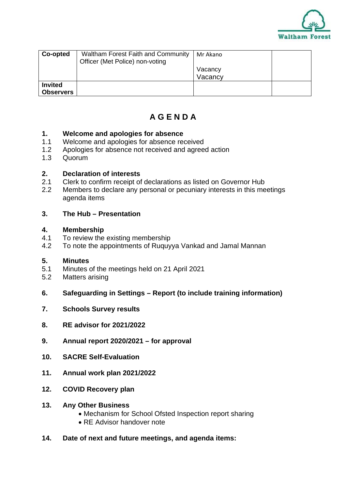

| Co-opted                           | <b>Waltham Forest Faith and Community</b><br>Officer (Met Police) non-voting | Mr Akano           |  |
|------------------------------------|------------------------------------------------------------------------------|--------------------|--|
|                                    |                                                                              | Vacancy<br>Vacancy |  |
| <b>Invited</b><br><b>Observers</b> |                                                                              |                    |  |

# **A G E N D A**

#### **1. Welcome and apologies for absence**

- 1.1 Welcome and apologies for absence received<br>1.2 Apologies for absence not received and agree
- Apologies for absence not received and agreed action
- 1.3 Quorum

#### **2. Declaration of interests**

- 2.1 Clerk to confirm receipt of declarations as listed on Governor Hub
- 2.2 Members to declare any personal or pecuniary interests in this meetings agenda items

#### **3. The Hub – Presentation**

#### **4. Membership**

- 4.1 To review the existing membership<br>4.2 To note the appointments of Ruguv
- To note the appointments of Ruguyya Vankad and Jamal Mannan

# **5. Minutes**

- 5.1 Minutes of the meetings held on 21 April 2021
- 5.2 Matters arising
- **6. Safeguarding in Settings – Report (to include training information)**
- **7. Schools Survey results**
- **8. RE advisor for 2021/2022**
- **9. Annual report 2020/2021 – for approval**
- **10. SACRE Self-Evaluation**
- **11. Annual work plan 2021/2022**
- **12. COVID Recovery plan**
- **13. Any Other Business**
	- Mechanism for School Ofsted Inspection report sharing
	- RE Advisor handover note
- **14. Date of next and future meetings, and agenda items:**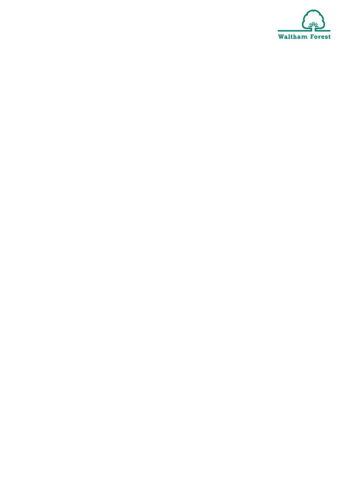